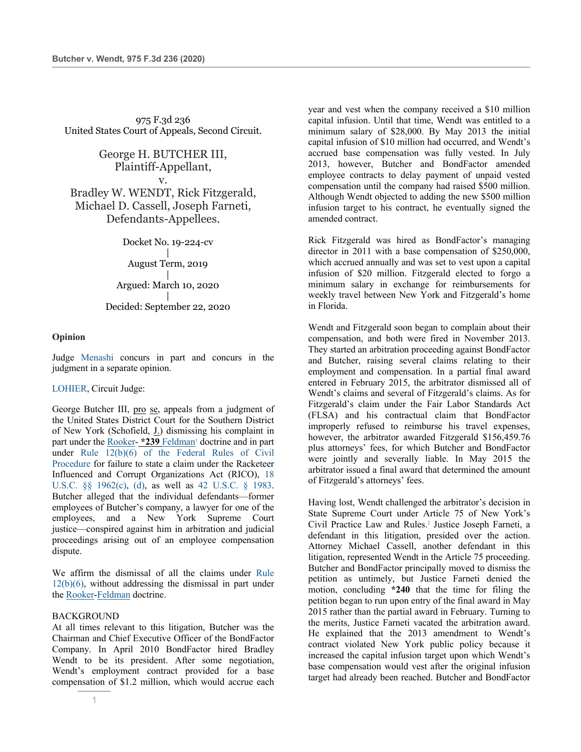975 F.3d 236 United States Court of Appeals, Second Circuit.

> George H. BUTCHER III, Plaintiff-Appellant, v.

Bradley W. WENDT, Rick Fitzgerald, Michael D. Cassell, Joseph Farneti, Defendants-Appellees.

Docket No. 19-224-cv

| August Term, 2019 | Argued: March 10, 2020 |

# Decided: September 22, 2020

### **Opinion**

Judge Menashi concurs in part and concurs in the judgment in a separate opinion.

#### LOHIER, Circuit Judge:

George Butcher III, pro se, appeals from a judgment of the United States District Court for the Southern District of New York (Schofield, J.) dismissing his complaint in part under the Rooker- \*239 Feldman<sup>1</sup> doctrine and in part under Rule 12(b)(6) of the Federal Rules of Civil Procedure for failure to state a claim under the Racketeer Influenced and Corrupt Organizations Act (RICO), 18 U.S.C. §§ 1962(c), (d), as well as 42 U.S.C. § 1983. Butcher alleged that the individual defendants—former employees of Butcher's company, a lawyer for one of the employees, and a New York Supreme Court justice—conspired against him in arbitration and judicial proceedings arising out of an employee compensation dispute.

We affirm the dismissal of all the claims under Rule  $12(b)(6)$ , without addressing the dismissal in part under the Rooker-Feldman doctrine.

## BACKGROUND

At all times relevant to this litigation, Butcher was the Chairman and Chief Executive Officer of the BondFactor Company. In April 2010 BondFactor hired Bradley Wendt to be its president. After some negotiation, Wendt's employment contract provided for a base compensation of \$1.2 million, which would accrue each year and vest when the company received a \$10 million capital infusion. Until that time, Wendt was entitled to a minimum salary of \$28,000. By May 2013 the initial capital infusion of \$10 million had occurred, and Wendt's accrued base compensation was fully vested. In July 2013, however, Butcher and BondFactor amended employee contracts to delay payment of unpaid vested compensation until the company had raised \$500 million. Although Wendt objected to adding the new \$500 million infusion target to his contract, he eventually signed the amended contract.

Rick Fitzgerald was hired as BondFactor's managing director in 2011 with a base compensation of \$250,000, which accrued annually and was set to vest upon a capital infusion of \$20 million. Fitzgerald elected to forgo a minimum salary in exchange for reimbursements for weekly travel between New York and Fitzgerald's home in Florida.

Wendt and Fitzgerald soon began to complain about their compensation, and both were fired in November 2013. They started an arbitration proceeding against BondFactor and Butcher, raising several claims relating to their employment and compensation. In a partial final award entered in February 2015, the arbitrator dismissed all of Wendt's claims and several of Fitzgerald's claims. As for Fitzgerald's claim under the Fair Labor Standards Act (FLSA) and his contractual claim that BondFactor improperly refused to reimburse his travel expenses, however, the arbitrator awarded Fitzgerald \$156,459.76 plus attorneys' fees, for which Butcher and BondFactor were jointly and severally liable. In May 2015 the arbitrator issued a final award that determined the amount of Fitzgerald's attorneys' fees.

Having lost, Wendt challenged the arbitrator's decision in State Supreme Court under Article 75 of New York's Civil Practice Law and Rules.2 Justice Joseph Farneti, a defendant in this litigation, presided over the action. Attorney Michael Cassell, another defendant in this litigation, represented Wendt in the Article 75 proceeding. Butcher and BondFactor principally moved to dismiss the petition as untimely, but Justice Farneti denied the motion, concluding **\*240** that the time for filing the petition began to run upon entry of the final award in May 2015 rather than the partial award in February. Turning to the merits, Justice Farneti vacated the arbitration award. He explained that the 2013 amendment to Wendt's contract violated New York public policy because it increased the capital infusion target upon which Wendt's base compensation would vest after the original infusion target had already been reached. Butcher and BondFactor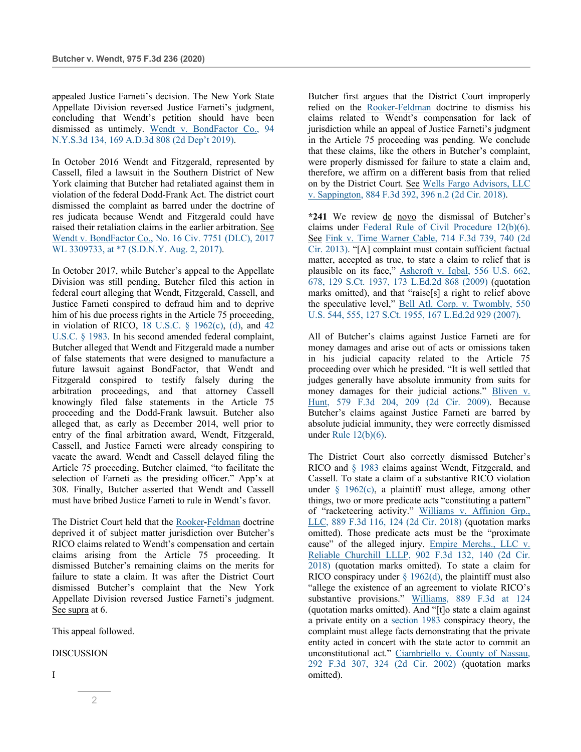appealed Justice Farneti's decision. The New York State Appellate Division reversed Justice Farneti's judgment, concluding that Wendt's petition should have been dismissed as untimely. Wendt v. BondFactor Co., 94 N.Y.S.3d 134, 169 A.D.3d 808 (2d Dep't 2019).

In October 2016 Wendt and Fitzgerald, represented by Cassell, filed a lawsuit in the Southern District of New York claiming that Butcher had retaliated against them in violation of the federal Dodd-Frank Act. The district court dismissed the complaint as barred under the doctrine of res judicata because Wendt and Fitzgerald could have raised their retaliation claims in the earlier arbitration. See Wendt v. BondFactor Co., No. 16 Civ. 7751 (DLC), 2017 WL 3309733, at \*7 (S.D.N.Y. Aug. 2, 2017).

In October 2017, while Butcher's appeal to the Appellate Division was still pending, Butcher filed this action in federal court alleging that Wendt, Fitzgerald, Cassell, and Justice Farneti conspired to defraud him and to deprive him of his due process rights in the Article 75 proceeding, in violation of RICO, 18 U.S.C. § 1962(c), (d), and 42 U.S.C. § 1983. In his second amended federal complaint, Butcher alleged that Wendt and Fitzgerald made a number of false statements that were designed to manufacture a future lawsuit against BondFactor, that Wendt and Fitzgerald conspired to testify falsely during the arbitration proceedings, and that attorney Cassell knowingly filed false statements in the Article 75 proceeding and the Dodd-Frank lawsuit. Butcher also alleged that, as early as December 2014, well prior to entry of the final arbitration award, Wendt, Fitzgerald, Cassell, and Justice Farneti were already conspiring to vacate the award. Wendt and Cassell delayed filing the Article 75 proceeding, Butcher claimed, "to facilitate the selection of Farneti as the presiding officer." App'x at 308. Finally, Butcher asserted that Wendt and Cassell must have bribed Justice Farneti to rule in Wendt's favor.

The District Court held that the Rooker-Feldman doctrine deprived it of subject matter jurisdiction over Butcher's RICO claims related to Wendt's compensation and certain claims arising from the Article 75 proceeding. It dismissed Butcher's remaining claims on the merits for failure to state a claim. It was after the District Court dismissed Butcher's complaint that the New York Appellate Division reversed Justice Farneti's judgment. See supra at 6.

This appeal followed.

### DISCUSSION

Butcher first argues that the District Court improperly relied on the Rooker-Feldman doctrine to dismiss his claims related to Wendt's compensation for lack of jurisdiction while an appeal of Justice Farneti's judgment in the Article 75 proceeding was pending. We conclude that these claims, like the others in Butcher's complaint, were properly dismissed for failure to state a claim and, therefore, we affirm on a different basis from that relied on by the District Court. See Wells Fargo Advisors, LLC v. Sappington, 884 F.3d 392, 396 n.2 (2d Cir. 2018).

**\*241** We review de novo the dismissal of Butcher's claims under Federal Rule of Civil Procedure 12(b)(6). See Fink v. Time Warner Cable, 714 F.3d 739, 740 (2d Cir. 2013). "[A] complaint must contain sufficient factual matter, accepted as true, to state a claim to relief that is plausible on its face," Ashcroft v. Iqbal, 556 U.S. 662, 678, 129 S.Ct. 1937, 173 L.Ed.2d 868 (2009) (quotation marks omitted), and that "raise[s] a right to relief above the speculative level," Bell Atl. Corp. v. Twombly, 550 U.S. 544, 555, 127 S.Ct. 1955, 167 L.Ed.2d 929 (2007).

All of Butcher's claims against Justice Farneti are for money damages and arise out of acts or omissions taken in his judicial capacity related to the Article 75 proceeding over which he presided. "It is well settled that judges generally have absolute immunity from suits for money damages for their judicial actions." Bliven v. Hunt, 579 F.3d 204, 209 (2d Cir. 2009). Because Butcher's claims against Justice Farneti are barred by absolute judicial immunity, they were correctly dismissed under Rule 12(b)(6).

The District Court also correctly dismissed Butcher's RICO and § 1983 claims against Wendt, Fitzgerald, and Cassell. To state a claim of a substantive RICO violation under  $\S$  1962(c), a plaintiff must allege, among other things, two or more predicate acts "constituting a pattern" of "racketeering activity." Williams v. Affinion Grp., LLC, 889 F.3d 116, 124 (2d Cir. 2018) (quotation marks omitted). Those predicate acts must be the "proximate cause" of the alleged injury. Empire Merchs., LLC v. Reliable Churchill LLLP, 902 F.3d 132, 140 (2d Cir. 2018) (quotation marks omitted). To state a claim for RICO conspiracy under  $\S$  1962(d), the plaintiff must also "allege the existence of an agreement to violate RICO's substantive provisions." Williams, 889 F.3d at 124 (quotation marks omitted). And "[t]o state a claim against a private entity on a section 1983 conspiracy theory, the complaint must allege facts demonstrating that the private entity acted in concert with the state actor to commit an unconstitutional act." Ciambriello v. County of Nassau, 292 F.3d 307, 324 (2d Cir. 2002) (quotation marks omitted).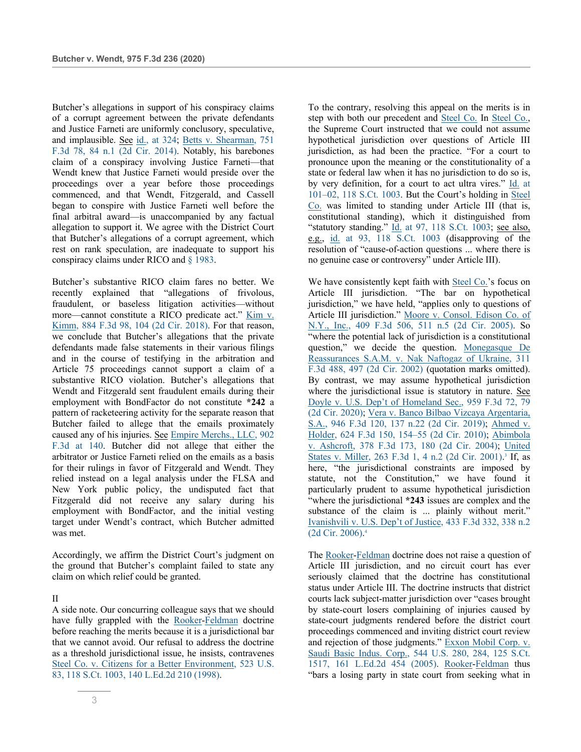Butcher's allegations in support of his conspiracy claims of a corrupt agreement between the private defendants and Justice Farneti are uniformly conclusory, speculative, and implausible. See id., at 324; Betts v. Shearman, 751 F.3d 78, 84 n.1 (2d Cir. 2014). Notably, his barebones claim of a conspiracy involving Justice Farneti—that Wendt knew that Justice Farneti would preside over the proceedings over a year before those proceedings commenced, and that Wendt, Fitzgerald, and Cassell began to conspire with Justice Farneti well before the final arbitral award—is unaccompanied by any factual allegation to support it. We agree with the District Court that Butcher's allegations of a corrupt agreement, which rest on rank speculation, are inadequate to support his conspiracy claims under RICO and § 1983.

Butcher's substantive RICO claim fares no better. We recently explained that "allegations of frivolous, fraudulent, or baseless litigation activities—without more—cannot constitute a RICO predicate act." Kim v. Kimm, 884 F.3d 98, 104 (2d Cir. 2018). For that reason, we conclude that Butcher's allegations that the private defendants made false statements in their various filings and in the course of testifying in the arbitration and Article 75 proceedings cannot support a claim of a substantive RICO violation. Butcher's allegations that Wendt and Fitzgerald sent fraudulent emails during their employment with BondFactor do not constitute **\*242** a pattern of racketeering activity for the separate reason that Butcher failed to allege that the emails proximately caused any of his injuries. See Empire Merchs., LLC, 902 F.3d at 140. Butcher did not allege that either the arbitrator or Justice Farneti relied on the emails as a basis for their rulings in favor of Fitzgerald and Wendt. They relied instead on a legal analysis under the FLSA and New York public policy, the undisputed fact that Fitzgerald did not receive any salary during his employment with BondFactor, and the initial vesting target under Wendt's contract, which Butcher admitted was met.

Accordingly, we affirm the District Court's judgment on the ground that Butcher's complaint failed to state any claim on which relief could be granted.

#### II

A side note. Our concurring colleague says that we should have fully grappled with the Rooker-Feldman doctrine before reaching the merits because it is a jurisdictional bar that we cannot avoid. Our refusal to address the doctrine as a threshold jurisdictional issue, he insists, contravenes Steel Co. v. Citizens for a Better Environment, 523 U.S. 83, 118 S.Ct. 1003, 140 L.Ed.2d 210 (1998).

To the contrary, resolving this appeal on the merits is in step with both our precedent and Steel Co. In Steel Co., the Supreme Court instructed that we could not assume hypothetical jurisdiction over questions of Article III jurisdiction, as had been the practice. "For a court to pronounce upon the meaning or the constitutionality of a state or federal law when it has no jurisdiction to do so is, by very definition, for a court to act ultra vires." Id. at 101–02, 118 S.Ct. 1003. But the Court's holding in Steel Co. was limited to standing under Article III (that is, constitutional standing), which it distinguished from "statutory standing." Id. at 97, 118 S.Ct. 1003; see also, e.g., id. at 93, 118 S.Ct. 1003 (disapproving of the resolution of "cause-of-action questions ... where there is no genuine case or controversy" under Article III).

We have consistently kept faith with Steel Co.'s focus on Article III jurisdiction. "The bar on hypothetical jurisdiction," we have held, "applies only to questions of Article III jurisdiction." Moore v. Consol. Edison Co. of N.Y., Inc., 409 F.3d 506, 511 n.5 (2d Cir. 2005). So "where the potential lack of jurisdiction is a constitutional question," we decide the question. Monegasque De Reassurances S.A.M. v. Nak Naftogaz of Ukraine, 311 F.3d 488, 497 (2d Cir. 2002) (quotation marks omitted). By contrast, we may assume hypothetical jurisdiction where the jurisdictional issue is statutory in nature. See Doyle v. U.S. Dep't of Homeland Sec., 959 F.3d 72, 79 (2d Cir. 2020); Vera v. Banco Bilbao Vizcaya Argentaria, S.A., 946 F.3d 120, 137 n.22 (2d Cir. 2019); Ahmed v. Holder, 624 F.3d 150, 154–55 (2d Cir. 2010); Abimbola v. Ashcroft, 378 F.3d 173, 180 (2d Cir. 2004); United States v. Miller, 263 F.3d 1, 4 n.2 (2d Cir. 2001).<sup>3</sup> If, as here, "the jurisdictional constraints are imposed by statute, not the Constitution," we have found it particularly prudent to assume hypothetical jurisdiction "where the jurisdictional **\*243** issues are complex and the substance of the claim is ... plainly without merit." Ivanishvili v. U.S. Dep't of Justice, 433 F.3d 332, 338 n.2 (2d Cir. 2006). 4

The Rooker-Feldman doctrine does not raise a question of Article III jurisdiction, and no circuit court has ever seriously claimed that the doctrine has constitutional status under Article III. The doctrine instructs that district courts lack subject-matter jurisdiction over "cases brought by state-court losers complaining of injuries caused by state-court judgments rendered before the district court proceedings commenced and inviting district court review and rejection of those judgments." Exxon Mobil Corp. v. Saudi Basic Indus. Corp., 544 U.S. 280, 284, 125 S.Ct. 1517, 161 L.Ed.2d 454 (2005). Rooker-Feldman thus "bars a losing party in state court from seeking what in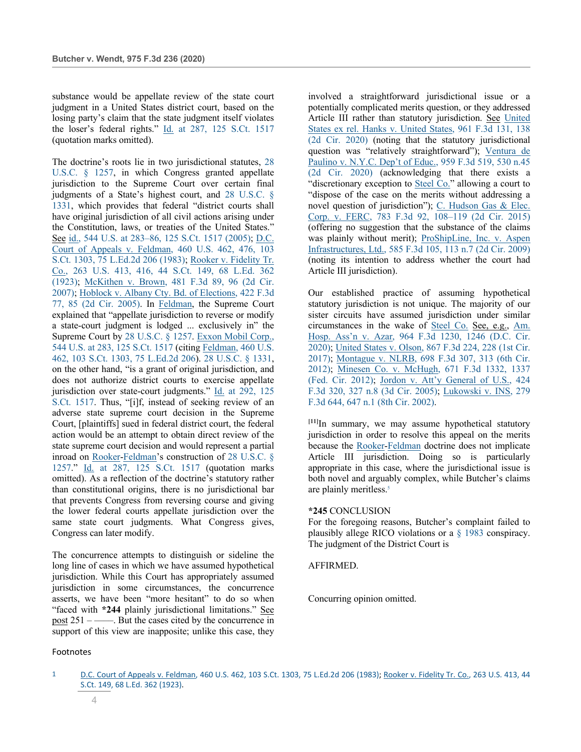substance would be appellate review of the state court judgment in a United States district court, based on the losing party's claim that the state judgment itself violates the loser's federal rights." Id. at 287, 125 S.Ct. 1517 (quotation marks omitted).

The doctrine's roots lie in two jurisdictional statutes, 28 U.S.C. § 1257, in which Congress granted appellate jurisdiction to the Supreme Court over certain final judgments of a State's highest court, and 28 U.S.C. § 1331, which provides that federal "district courts shall have original jurisdiction of all civil actions arising under the Constitution, laws, or treaties of the United States." See id., 544 U.S. at 283–86, 125 S.Ct. 1517 (2005); D.C. Court of Appeals v. Feldman, 460 U.S. 462, 476, 103 S.Ct. 1303, 75 L.Ed.2d 206 (1983); Rooker v. Fidelity Tr. Co., 263 U.S. 413, 416, 44 S.Ct. 149, 68 L.Ed. 362 (1923); McKithen v. Brown, 481 F.3d 89, 96 (2d Cir. 2007); Hoblock v. Albany Cty. Bd. of Elections, 422 F.3d 77, 85 (2d Cir. 2005). In Feldman, the Supreme Court explained that "appellate jurisdiction to reverse or modify a state-court judgment is lodged ... exclusively in" the Supreme Court by 28 U.S.C. § 1257. Exxon Mobil Corp., 544 U.S. at 283, 125 S.Ct. 1517 (citing Feldman, 460 U.S. 462, 103 S.Ct. 1303, 75 L.Ed.2d 206). 28 U.S.C. § 1331, on the other hand, "is a grant of original jurisdiction, and does not authorize district courts to exercise appellate jurisdiction over state-court judgments." Id. at 292, 125 S.Ct. 1517. Thus, "[i]f, instead of seeking review of an adverse state supreme court decision in the Supreme Court, [plaintiffs] sued in federal district court, the federal action would be an attempt to obtain direct review of the state supreme court decision and would represent a partial inroad on Rooker-Feldman's construction of 28 U.S.C. § 1257." Id. at 287, 125 S.Ct. 1517 (quotation marks omitted). As a reflection of the doctrine's statutory rather than constitutional origins, there is no jurisdictional bar that prevents Congress from reversing course and giving the lower federal courts appellate jurisdiction over the same state court judgments. What Congress gives, Congress can later modify.

The concurrence attempts to distinguish or sideline the long line of cases in which we have assumed hypothetical jurisdiction. While this Court has appropriately assumed jurisdiction in some circumstances, the concurrence asserts, we have been "more hesitant" to do so when "faced with **\*244** plainly jurisdictional limitations." See post 251 – ––––. But the cases cited by the concurrence in support of this view are inapposite; unlike this case, they

involved a straightforward jurisdictional issue or a potentially complicated merits question, or they addressed Article III rather than statutory jurisdiction. See United States ex rel. Hanks v. United States, 961 F.3d 131, 138 (2d Cir. 2020) (noting that the statutory jurisdictional question was "relatively straightforward"); Ventura de Paulino v. N.Y.C. Dep't of Educ., 959 F.3d 519, 530 n.45 (2d Cir. 2020) (acknowledging that there exists a "discretionary exception to Steel Co." allowing a court to "dispose of the case on the merits without addressing a novel question of jurisdiction"); C. Hudson Gas & Elec. Corp. v. FERC, 783 F.3d 92, 108–119 (2d Cir. 2015) (offering no suggestion that the substance of the claims was plainly without merit); ProShipLine, Inc. v. Aspen Infrastructures, Ltd., 585 F.3d 105, 113 n.7 (2d Cir. 2009) (noting its intention to address whether the court had Article III jurisdiction).

Our established practice of assuming hypothetical statutory jurisdiction is not unique. The majority of our sister circuits have assumed jurisdiction under similar circumstances in the wake of Steel Co. See, e.g., Am. Hosp. Ass'n v. Azar, 964 F.3d 1230, 1246 (D.C. Cir. 2020); United States v. Olson, 867 F.3d 224, 228 (1st Cir. 2017); Montague v. NLRB, 698 F.3d 307, 313 (6th Cir. 2012); Minesen Co. v. McHugh, 671 F.3d 1332, 1337 (Fed. Cir. 2012); Jordon v. Att'y General of U.S., 424 F.3d 320, 327 n.8 (3d Cir. 2005); Lukowski v. INS, 279 F.3d 644, 647 n.1 (8th Cir. 2002).

**[11]**In summary, we may assume hypothetical statutory jurisdiction in order to resolve this appeal on the merits because the Rooker-Feldman doctrine does not implicate Article III jurisdiction. Doing so is particularly appropriate in this case, where the jurisdictional issue is both novel and arguably complex, while Butcher's claims are plainly meritless.<sup>5</sup>

#### **\*245** CONCLUSION

For the foregoing reasons, Butcher's complaint failed to plausibly allege RICO violations or a § 1983 conspiracy. The judgment of the District Court is

AFFIRMED.

Concurring opinion omitted.

## Footnotes

<sup>1</sup> D.C. Court of Appeals v. Feldman, 460 U.S. 462, 103 S.Ct. 1303, 75 L.Ed.2d 206 (1983); Rooker v. Fidelity Tr. Co., 263 U.S. 413, 44 S.Ct. 149, 68 L.Ed. 362 (1923).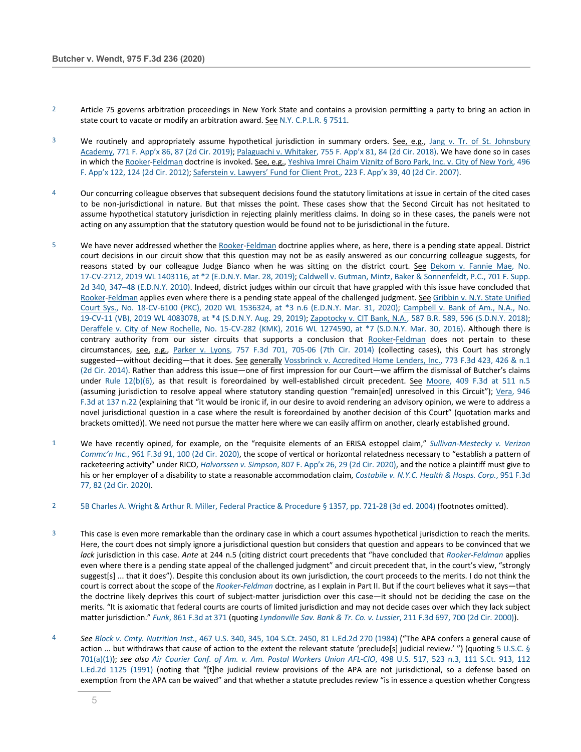- 2 Article 75 governs arbitration proceedings in New York State and contains a provision permitting a party to bring an action in state court to vacate or modify an arbitration award. See N.Y. C.P.L.R. § 7511.
- 3 We routinely and appropriately assume hypothetical jurisdiction in summary orders. See, e.g., Jang v. Tr. of St. Johnsbury Academy, 771 F. App'x 86, 87 (2d Cir. 2019); Palaguachi v. Whitaker, 755 F. App'x 81, 84 (2d Cir. 2018). We have done so in cases in which the Rooker-Feldman doctrine is invoked. See, e.g., Yeshiva Imrei Chaim Viznitz of Boro Park, Inc. v. City of New York, 496 F. App'x 122, 124 (2d Cir. 2012); Saferstein v. Lawyers' Fund for Client Prot., 223 F. App'x 39, 40 (2d Cir. 2007).
- 4 Our concurring colleague observes that subsequent decisions found the statutory limitations at issue in certain of the cited cases to be non-jurisdictional in nature. But that misses the point. These cases show that the Second Circuit has not hesitated to assume hypothetical statutory jurisdiction in rejecting plainly meritless claims. In doing so in these cases, the panels were not acting on any assumption that the statutory question would be found not to be jurisdictional in the future.
- 5 We have never addressed whether the Rooker-Feldman doctrine applies where, as here, there is a pending state appeal. District court decisions in our circuit show that this question may not be as easily answered as our concurring colleague suggests, for reasons stated by our colleague Judge Bianco when he was sitting on the district court. See Dekom v. Fannie Mae, No. 17-CV-2712, 2019 WL 1403116, at \*2 (E.D.N.Y. Mar. 28, 2019); Caldwell v. Gutman, Mintz, Baker & Sonnenfeldt, P.C., 701 F. Supp. 2d 340, 347–48 (E.D.N.Y. 2010). Indeed, district judges within our circuit that have grappled with this issue have concluded that Rooker-Feldman applies even where there is a pending state appeal of the challenged judgment. See Gribbin v. N.Y. State Unified Court Sys., No. 18-CV-6100 (PKC), 2020 WL 1536324, at \*3 n.6 (E.D.N.Y. Mar. 31, 2020); Campbell v. Bank of Am., N.A., No. 19-CV-11 (VB), 2019 WL 4083078, at \*4 (S.D.N.Y. Aug. 29, 2019); Zapotocky v. CIT Bank, N.A., 587 B.R. 589, 596 (S.D.N.Y. 2018); Deraffele v. City of New Rochelle, No. 15-CV-282 (KMK), 2016 WL 1274590, at \*7 (S.D.N.Y. Mar. 30, 2016). Although there is contrary authority from our sister circuits that supports a conclusion that Rooker-Feldman does not pertain to these circumstances, see, e.g., Parker v. Lyons, 757 F.3d 701, 705-06 (7th Cir. 2014) (collecting cases), this Court has strongly suggested—without deciding—that it does. See generally Vossbrinck v. Accredited Home Lenders, Inc., 773 F.3d 423, 426 & n.1 (2d Cir. 2014). Rather than address this issue—one of first impression for our Court—we affirm the dismissal of Butcher's claims under Rule 12(b)(6), as that result is foreordained by well-established circuit precedent. See Moore, 409 F.3d at 511 n.5 (assuming jurisdiction to resolve appeal where statutory standing question "remain[ed] unresolved in this Circuit"); Vera, 946 F.3d at 137 n.22 (explaining that "it would be ironic if, in our desire to avoid rendering an advisory opinion, we were to address a novel jurisdictional question in a case where the result is foreordained by another decision of this Court" (quotation marks and brackets omitted)). We need not pursue the matter here where we can easily affirm on another, clearly established ground.
- 1 We have recently opined, for example, on the "requisite elements of an ERISA estoppel claim," *Sullivan-Mestecky v. Verizon Commc'n Inc.*, 961 F.3d 91, 100 (2d Cir. 2020), the scope of vertical or horizontal relatedness necessary to "establish a pattern of racketeering activity" under RICO, *Halvorssen v. Simpson*, 807 F. App'x 26, 29 (2d Cir. 2020), and the notice a plaintiff must give to his or her employer of a disability to state a reasonable accommodation claim, *Costabile v. N.Y.C. Health & Hosps. Corp.*, 951 F.3d 77, 82 (2d Cir. 2020).
- 2 5B Charles A. Wright & Arthur R. Miller, Federal Practice & Procedure § 1357, pp. 721-28 (3d ed. 2004) (footnotes omitted).
- 3 This case is even more remarkable than the ordinary case in which a court assumes hypothetical jurisdiction to reach the merits. Here, the court does not simply ignore a jurisdictional question but considers that question and appears to be convinced that we *lack* jurisdiction in this case. *Ante* at 244 n.5 (citing district court precedents that "have concluded that *Rooker-Feldman* applies even where there is a pending state appeal of the challenged judgment" and circuit precedent that, in the court's view, "strongly suggest[s] ... that it does"). Despite this conclusion about its own jurisdiction, the court proceeds to the merits. I do not think the court is correct about the scope of the *Rooker-Feldman* doctrine, as I explain in Part II. But if the court believes what it says—that the doctrine likely deprives this court of subject-matter jurisdiction over this case—it should not be deciding the case on the merits. "It is axiomatic that federal courts are courts of limited jurisdiction and may not decide cases over which they lack subject matter jurisdiction." *Funk*, 861 F.3d at 371 (quoting *Lyndonville Sav. Bank & Tr. Co. v. Lussier*, 211 F.3d 697, 700 (2d Cir. 2000)).
- 4 *See Block v. Cmty. Nutrition Inst.*, 467 U.S. 340, 345, 104 S.Ct. 2450, 81 L.Ed.2d 270 (1984) ("The APA confers a general cause of action ... but withdraws that cause of action to the extent the relevant statute 'preclude[s] judicial review.' ") (quoting 5 U.S.C. § 701(a)(1)); *see also Air Courier Conf. of Am. v. Am. Postal Workers Union AFL-CIO*, 498 U.S. 517, 523 n.3, 111 S.Ct. 913, 112 L.Ed.2d 1125 (1991) (noting that "[t]he judicial review provisions of the APA are not jurisdictional, so a defense based on exemption from the APA can be waived" and that whether a statute precludes review "is in essence a question whether Congress